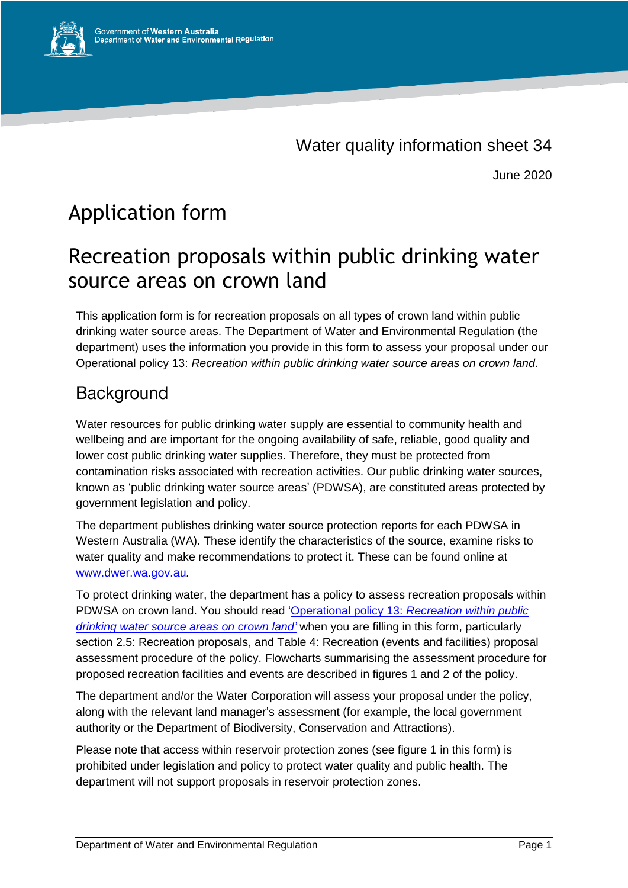

June 2020

# Application form

## Recreation proposals within public drinking water source areas on crown land

This application form is for recreation proposals on all types of crown land within public drinking water source areas. The Department of Water and Environmental Regulation (the department) uses the information you provide in this form to assess your proposal under our Operational policy 13: *Recreation within public drinking water source areas on crown land*.

### Background

Water resources for public drinking water supply are essential to community health and wellbeing and are important for the ongoing availability of safe, reliable, good quality and lower cost public drinking water supplies. Therefore, they must be protected from contamination risks associated with recreation activities. Our public drinking water sources, known as 'public drinking water source areas' (PDWSA), are constituted areas protected by government legislation and policy.

The department publishes drinking water source protection reports for each PDWSA in Western Australia (WA). These identify the characteristics of the source, examine risks to water quality and make recommendations to protect it. These can be found online at [www.dwer.wa.gov.au](http://www.dwer.wa.gov.au/)*.*

To protect drinking water, the department has a policy to assess recreation proposals within PDWSA on crown land. You should read 'Operational policy 13: *[Recreation within public](https://www.water.wa.gov.au/__data/assets/pdf_file/0019/1594/103823.PDF)  [drinking water source areas on crown land'](https://www.water.wa.gov.au/__data/assets/pdf_file/0019/1594/103823.PDF)* when you are filling in this form, particularly section 2.5: Recreation proposals, and Table 4: Recreation (events and facilities) proposal assessment procedure of the policy. Flowcharts summarising the assessment procedure for proposed recreation facilities and events are described in figures 1 and 2 of the policy.

The department and/or the Water Corporation will assess your proposal under the policy, along with the relevant land manager's assessment (for example, the local government authority or the Department of Biodiversity, Conservation and Attractions).

Please note that access within reservoir protection zones (see figure 1 in this form) is prohibited under legislation and policy to protect water quality and public health. The department will not support proposals in reservoir protection zones.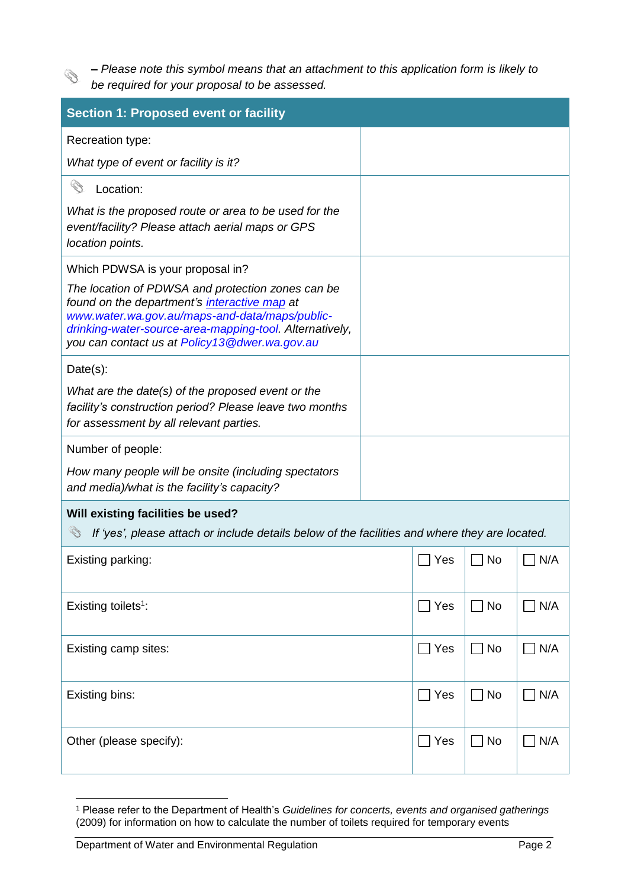*‒ Please note this symbol means that an attachment to this application form is likely to be required for your proposal to be assessed.* 

Ø

| <b>Section 1: Proposed event or facility</b>                                                                                                                                                                                                                    |              |                             |            |  |
|-----------------------------------------------------------------------------------------------------------------------------------------------------------------------------------------------------------------------------------------------------------------|--------------|-----------------------------|------------|--|
| Recreation type:                                                                                                                                                                                                                                                |              |                             |            |  |
| What type of event or facility is it?                                                                                                                                                                                                                           |              |                             |            |  |
| Ó<br>Location:                                                                                                                                                                                                                                                  |              |                             |            |  |
| What is the proposed route or area to be used for the<br>event/facility? Please attach aerial maps or GPS<br>location points.                                                                                                                                   |              |                             |            |  |
| Which PDWSA is your proposal in?                                                                                                                                                                                                                                |              |                             |            |  |
| The location of PDWSA and protection zones can be<br>found on the department's interactive map at<br>www.water.wa.gov.au/maps-and-data/maps/public-<br>drinking-water-source-area-mapping-tool. Alternatively,<br>you can contact us at Policy13@dwer.wa.gov.au |              |                             |            |  |
| Date(s):                                                                                                                                                                                                                                                        |              |                             |            |  |
| What are the date(s) of the proposed event or the<br>facility's construction period? Please leave two months<br>for assessment by all relevant parties.                                                                                                         |              |                             |            |  |
| Number of people:                                                                                                                                                                                                                                               |              |                             |            |  |
| How many people will be onsite (including spectators<br>and media)/what is the facility's capacity?                                                                                                                                                             |              |                             |            |  |
| Will existing facilities be used?                                                                                                                                                                                                                               |              |                             |            |  |
| Î<br>If 'yes', please attach or include details below of the facilities and where they are located.                                                                                                                                                             |              |                             |            |  |
| Existing parking:                                                                                                                                                                                                                                               | Yes          | No                          | N/A        |  |
| Existing toilets <sup>1</sup> :                                                                                                                                                                                                                                 | $\Box$ Yes   | $\Box$ No                   | $\Box$ N/A |  |
| Existing camp sites:                                                                                                                                                                                                                                            | $\sqcap$ Yes | <b>No</b><br>$\blacksquare$ | N/A        |  |
| Existing bins:                                                                                                                                                                                                                                                  | Yes          | <b>No</b><br>$\blacksquare$ | N/A        |  |
| Other (please specify):                                                                                                                                                                                                                                         | Yes          | <b>No</b>                   | N/A        |  |

<sup>1</sup> <sup>1</sup> Please refer to the Department of Health's *Guidelines for concerts, events and organised gatherings* (2009) for information on how to calculate the number of toilets required for temporary events

Department of Water and Environmental Regulation Page 2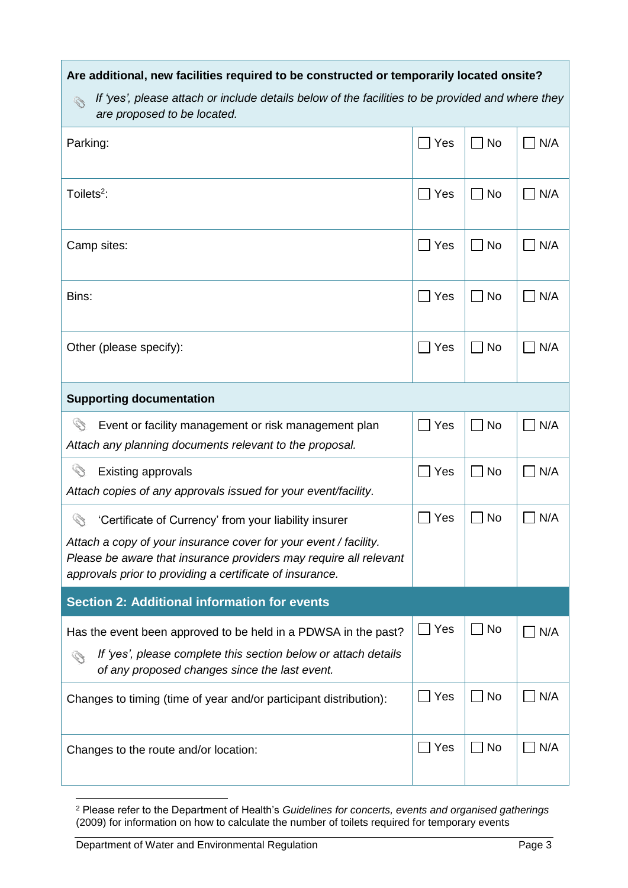| Are additional, new facilities required to be constructed or temporarily located onsite?                                                                                                                                                                   |     |                            |     |  |
|------------------------------------------------------------------------------------------------------------------------------------------------------------------------------------------------------------------------------------------------------------|-----|----------------------------|-----|--|
| If 'yes', please attach or include details below of the facilities to be provided and where they<br>Ø<br>are proposed to be located.                                                                                                                       |     |                            |     |  |
| Parking:                                                                                                                                                                                                                                                   | Yes | <b>No</b>                  | N/A |  |
| Toilets <sup>2</sup> :                                                                                                                                                                                                                                     | Yes | No                         | N/A |  |
| Camp sites:                                                                                                                                                                                                                                                | Yes | No                         | N/A |  |
| Bins:                                                                                                                                                                                                                                                      | Yes | <b>No</b>                  | N/A |  |
| Other (please specify):                                                                                                                                                                                                                                    | Yes | <b>No</b>                  | N/A |  |
| <b>Supporting documentation</b>                                                                                                                                                                                                                            |     |                            |     |  |
| 43<br>Event or facility management or risk management plan<br>Attach any planning documents relevant to the proposal.                                                                                                                                      | Yes | No                         | N/A |  |
| Ø.<br><b>Existing approvals</b><br>Attach copies of any approvals issued for your event/facility.                                                                                                                                                          | Yes | <b>No</b>                  | N/A |  |
| 'Certificate of Currency' from your liability insurer<br>Attach a copy of your insurance cover for your event / facility.<br>Please be aware that insurance providers may require all relevant<br>approvals prior to providing a certificate of insurance. | Yes | No                         | N/A |  |
| <b>Section 2: Additional information for events</b>                                                                                                                                                                                                        |     |                            |     |  |
| Has the event been approved to be held in a PDWSA in the past?<br>If 'yes', please complete this section below or attach details<br>of any proposed changes since the last event.                                                                          | Yes | <b>No</b><br>$\mathcal{L}$ | N/A |  |
| Changes to timing (time of year and/or participant distribution):                                                                                                                                                                                          | Yes | No                         | N/A |  |
| Changes to the route and/or location:                                                                                                                                                                                                                      | Yes | No                         | N/A |  |

<sup>1</sup> <sup>2</sup> Please refer to the Department of Health's *Guidelines for concerts, events and organised gatherings* (2009) for information on how to calculate the number of toilets required for temporary events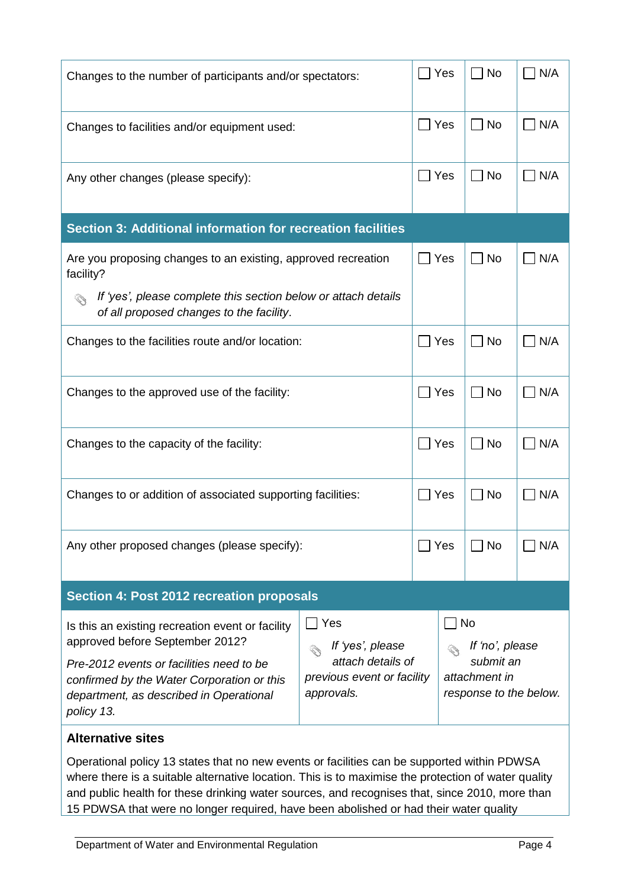| Changes to the number of participants and/or spectators:                                                                                                                                                                                                                                             |                                                                                          | Yes                                                                                  | <b>No</b><br>$\blacksquare$ | N/A        |  |
|------------------------------------------------------------------------------------------------------------------------------------------------------------------------------------------------------------------------------------------------------------------------------------------------------|------------------------------------------------------------------------------------------|--------------------------------------------------------------------------------------|-----------------------------|------------|--|
| Changes to facilities and/or equipment used:                                                                                                                                                                                                                                                         |                                                                                          | Yes                                                                                  | No<br>$\blacksquare$        | N/A        |  |
| Any other changes (please specify):                                                                                                                                                                                                                                                                  |                                                                                          | Yes                                                                                  | No                          | N/A        |  |
| Section 3: Additional information for recreation facilities                                                                                                                                                                                                                                          |                                                                                          |                                                                                      |                             |            |  |
| Are you proposing changes to an existing, approved recreation<br>facility?                                                                                                                                                                                                                           |                                                                                          | ∣ Yes                                                                                | <b>No</b><br>$\blacksquare$ | N/A        |  |
| If 'yes', please complete this section below or attach details<br>of all proposed changes to the facility.                                                                                                                                                                                           |                                                                                          |                                                                                      |                             |            |  |
| Changes to the facilities route and/or location:                                                                                                                                                                                                                                                     |                                                                                          | ∣ Yes                                                                                | $\Box$ No                   | N/A        |  |
| Changes to the approved use of the facility:                                                                                                                                                                                                                                                         |                                                                                          | Yes                                                                                  | $\Box$ No                   | $\Box$ N/A |  |
| Changes to the capacity of the facility:                                                                                                                                                                                                                                                             |                                                                                          | Yes                                                                                  | $\blacksquare$ No           | N/A        |  |
| Changes to or addition of associated supporting facilities:                                                                                                                                                                                                                                          |                                                                                          | Yes                                                                                  | No                          | N/A        |  |
| Any other proposed changes (please specify):                                                                                                                                                                                                                                                         |                                                                                          | Yes                                                                                  | No                          | $\neg$ N/A |  |
| Section 4: Post 2012 recreation proposals                                                                                                                                                                                                                                                            |                                                                                          |                                                                                      |                             |            |  |
| Is this an existing recreation event or facility<br>approved before September 2012?<br>Pre-2012 events or facilities need to be<br>confirmed by the Water Corporation or this<br>department, as described in Operational<br>policy 13.                                                               | Yes<br>If 'yes', please<br>attach details of<br>previous event or facility<br>approvals. | <b>No</b><br>If 'no', please<br>submit an<br>attachment in<br>response to the below. |                             |            |  |
| <b>Alternative sites</b>                                                                                                                                                                                                                                                                             |                                                                                          |                                                                                      |                             |            |  |
| Operational policy 13 states that no new events or facilities can be supported within PDWSA<br>where there is a suitable alternative location. This is to maximise the protection of water quality<br>and public health for these drinking water sources, and recognises that, since 2010, more than |                                                                                          |                                                                                      |                             |            |  |

15 PDWSA that were no longer required, have been abolished or had their water quality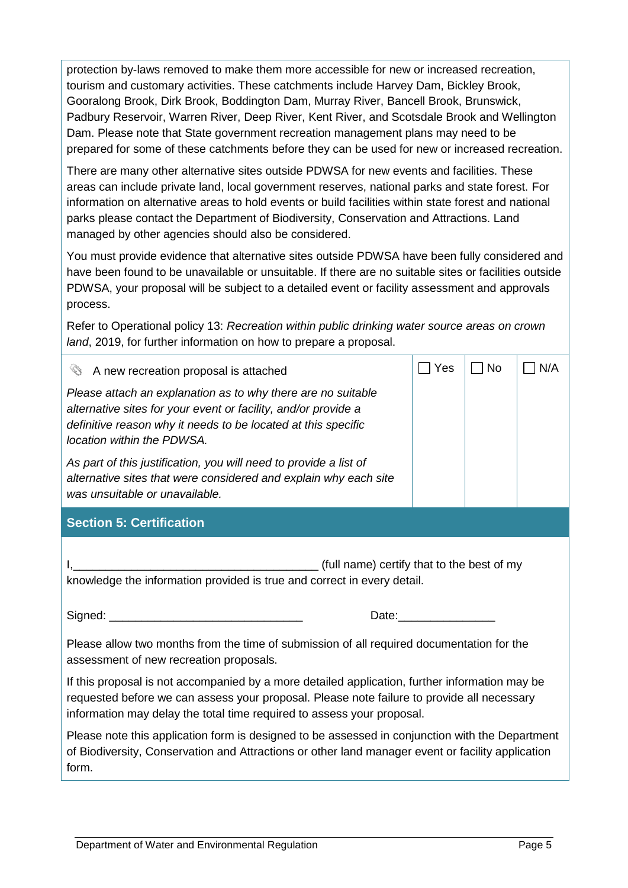protection by-laws removed to make them more accessible for new or increased recreation, tourism and customary activities. These catchments include Harvey Dam, Bickley Brook, Gooralong Brook, Dirk Brook, Boddington Dam, Murray River, Bancell Brook, Brunswick, Padbury Reservoir, Warren River, Deep River, Kent River, and Scotsdale Brook and Wellington Dam. Please note that State government recreation management plans may need to be prepared for some of these catchments before they can be used for new or increased recreation.

There are many other alternative sites outside PDWSA for new events and facilities. These areas can include private land, local government reserves, national parks and state forest. For information on alternative areas to hold events or build facilities within state forest and national parks please contact the Department of Biodiversity, Conservation and Attractions. Land managed by other agencies should also be considered.

You must provide evidence that alternative sites outside PDWSA have been fully considered and have been found to be unavailable or unsuitable. If there are no suitable sites or facilities outside PDWSA, your proposal will be subject to a detailed event or facility assessment and approvals process.

Refer to Operational policy 13: *Recreation within public drinking water source areas on crown land*, 2019, for further information on how to prepare a proposal.

| Í<br>A new recreation proposal is attached                                                                                                                                                                                                                             | Yes                                                                                                                                                                                                                            | <b>No</b> | N/A |
|------------------------------------------------------------------------------------------------------------------------------------------------------------------------------------------------------------------------------------------------------------------------|--------------------------------------------------------------------------------------------------------------------------------------------------------------------------------------------------------------------------------|-----------|-----|
| Please attach an explanation as to why there are no suitable<br>alternative sites for your event or facility, and/or provide a<br>definitive reason why it needs to be located at this specific<br>location within the PDWSA.                                          |                                                                                                                                                                                                                                |           |     |
| As part of this justification, you will need to provide a list of<br>alternative sites that were considered and explain why each site<br>was unsuitable or unavailable.                                                                                                |                                                                                                                                                                                                                                |           |     |
| <b>Section 5: Certification</b>                                                                                                                                                                                                                                        |                                                                                                                                                                                                                                |           |     |
| (full name) certify that to the best of my<br>knowledge the information provided is true and correct in every detail.                                                                                                                                                  |                                                                                                                                                                                                                                |           |     |
|                                                                                                                                                                                                                                                                        | Date: the contract of the contract of the contract of the contract of the contract of the contract of the contract of the contract of the contract of the contract of the contract of the contract of the contract of the cont |           |     |
| Please allow two months from the time of submission of all required documentation for the<br>assessment of new recreation proposals.                                                                                                                                   |                                                                                                                                                                                                                                |           |     |
| If this proposal is not accompanied by a more detailed application, further information may be<br>requested before we can assess your proposal. Please note failure to provide all necessary<br>information may delay the total time required to assess your proposal. |                                                                                                                                                                                                                                |           |     |
| Please note this application form is designed to be assessed in conjunction with the Department<br>of Biodiversity, Conservation and Attractions or other land manager event or facility application<br>form.                                                          |                                                                                                                                                                                                                                |           |     |